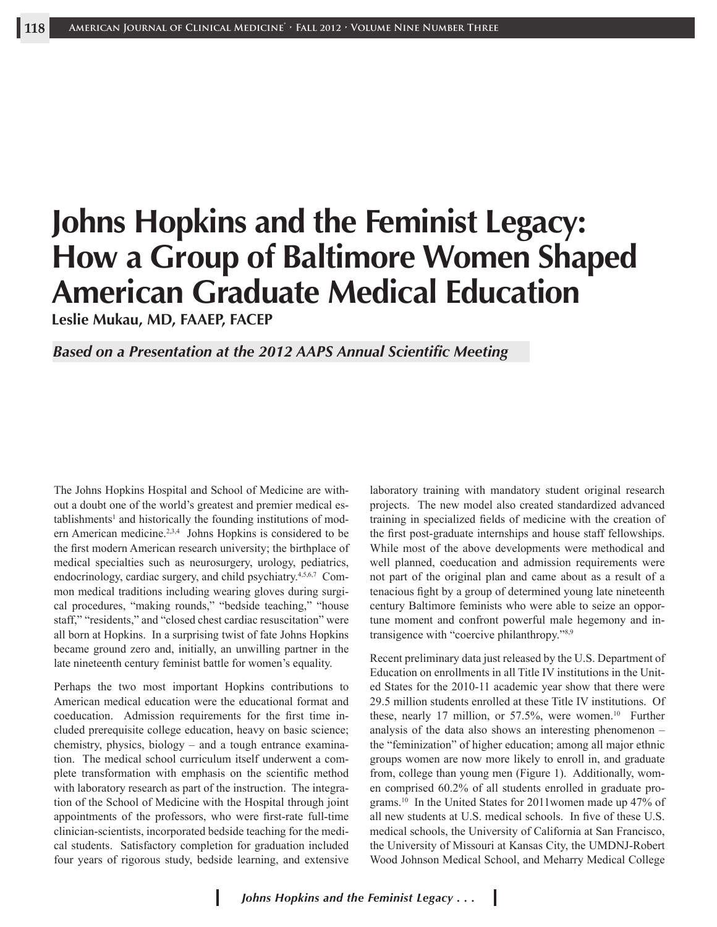# **Johns Hopkins and the Feminist Legacy: How a Group of Baltimore Women Shaped American Graduate Medical Education**

**Leslie Mukau, MD, FAAEP, FACEP**

#### *Based on a Presentation at the 2012 AAPS Annual Scientific Meeting*

The Johns Hopkins Hospital and School of Medicine are without a doubt one of the world's greatest and premier medical establishments<sup>1</sup> and historically the founding institutions of modern American medicine.<sup>2,3,4</sup> Johns Hopkins is considered to be the first modern American research university; the birthplace of medical specialties such as neurosurgery, urology, pediatrics, endocrinology, cardiac surgery, and child psychiatry.<sup>4,5,6,7</sup> Common medical traditions including wearing gloves during surgical procedures, "making rounds," "bedside teaching," "house staff," "residents," and "closed chest cardiac resuscitation" were all born at Hopkins. In a surprising twist of fate Johns Hopkins became ground zero and, initially, an unwilling partner in the late nineteenth century feminist battle for women's equality.

Perhaps the two most important Hopkins contributions to American medical education were the educational format and coeducation. Admission requirements for the first time included prerequisite college education, heavy on basic science; chemistry, physics, biology – and a tough entrance examination. The medical school curriculum itself underwent a complete transformation with emphasis on the scientific method with laboratory research as part of the instruction. The integration of the School of Medicine with the Hospital through joint appointments of the professors, who were first-rate full-time clinician-scientists, incorporated bedside teaching for the medical students. Satisfactory completion for graduation included four years of rigorous study, bedside learning, and extensive

laboratory training with mandatory student original research projects. The new model also created standardized advanced training in specialized fields of medicine with the creation of the first post-graduate internships and house staff fellowships. While most of the above developments were methodical and well planned, coeducation and admission requirements were not part of the original plan and came about as a result of a tenacious fight by a group of determined young late nineteenth century Baltimore feminists who were able to seize an opportune moment and confront powerful male hegemony and intransigence with "coercive philanthropy."8,9

Recent preliminary data just released by the U.S. Department of Education on enrollments in all Title IV institutions in the United States for the 2010-11 academic year show that there were 29.5 million students enrolled at these Title IV institutions. Of these, nearly 17 million, or  $57.5\%$ , were women.<sup>10</sup> Further analysis of the data also shows an interesting phenomenon – the "feminization" of higher education; among all major ethnic groups women are now more likely to enroll in, and graduate from, college than young men (Figure 1). Additionally, women comprised 60.2% of all students enrolled in graduate programs.10 In the United States for 2011women made up 47% of all new students at U.S. medical schools. In five of these U.S. medical schools, the University of California at San Francisco, the University of Missouri at Kansas City, the UMDNJ-Robert Wood Johnson Medical School, and Meharry Medical College

ı

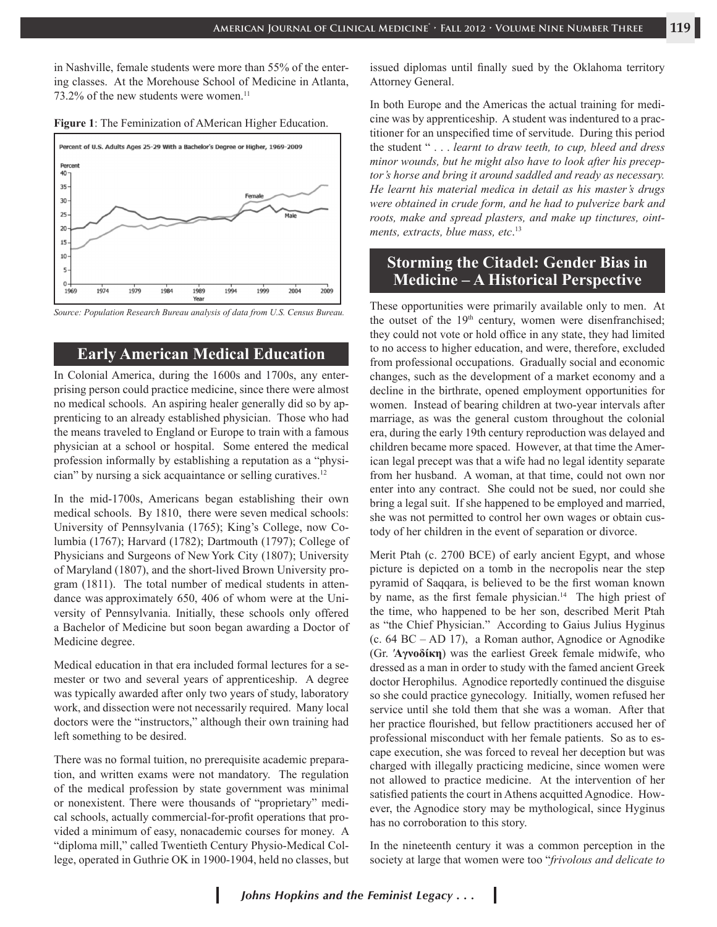in Nashville, female students were more than 55% of the entering classes. At the Morehouse School of Medicine in Atlanta,  $73.2\%$  of the new students were women.<sup>11</sup>





*Source: Population Research Bureau analysis of data from U.S. Census Bureau.*

#### **Early American Medical Education**

In Colonial America, during the 1600s and 1700s, any enterprising person could practice medicine, since there were almost no medical schools. An aspiring healer generally did so by apprenticing to an already established physician. Those who had the means traveled to England or Europe to train with a famous physician at a school or hospital. Some entered the medical profession informally by establishing a reputation as a "physician" by nursing a sick acquaintance or selling curatives.<sup>12</sup>

In the mid-1700s, Americans began establishing their own medical schools.By 1810, there were seven medical schools: University of Pennsylvania (1765); King's College, now Columbia (1767); Harvard (1782); Dartmouth (1797); College of Physicians and Surgeons of New York City (1807); University of Maryland (1807), and the short-lived Brown University program (1811). The total number of medical students in attendance was approximately 650, 406 of whom were at the University of Pennsylvania. Initially, these schools only offered a Bachelor of Medicine but soon began awarding a Doctor of Medicine degree.

Medical education in that era included formal lectures for a semester or two and several years of apprenticeship. A degree was typically awarded after only two years of study, laboratory work, and dissection were not necessarily required. Many local doctors were the "instructors," although their own training had left something to be desired.

There was no formal tuition, no prerequisite academic preparation, and written exams were not mandatory. The regulation of the medical profession by state government was minimal or nonexistent. There were thousands of "proprietary" medical schools, actually commercial-for-profit operations that provided a minimum of easy, nonacademic courses for money. A "diploma mill," called Twentieth Century Physio-Medical College, operated in Guthrie OK in 1900-1904, held no classes, but

issued diplomas until finally sued by the Oklahoma territory Attorney General.

In both Europe and the Americas the actual training for medicine was by apprenticeship. A student was indentured to a practitioner for an unspecified time of servitude. During this period the student " . . . *learnt to draw teeth, to cup, bleed and dress minor wounds, but he might also have to look after his preceptor's horse and bring it around saddled and ready as necessary. He learnt his material medica in detail as his master's drugs were obtained in crude form, and he had to pulverize bark and roots, make and spread plasters, and make up tinctures, ointments, extracts, blue mass, etc*. 13

# **Storming the Citadel: Gender Bias in Medicine – A Historical Perspective**

These opportunities were primarily available only to men. At the outset of the 19<sup>th</sup> century, women were disenfranchised; they could not vote or hold office in any state, they had limited to no access to higher education, and were, therefore, excluded from professional occupations. Gradually social and economic changes, such as the development of a market economy and a decline in the birthrate, opened employment opportunities for women. Instead of bearing children at two-year intervals after marriage, as was the general custom throughout the colonial era, during the early 19th century reproduction was delayed and children became more spaced. However, at that time the American legal precept was that a wife had no legal identity separate from her husband. A woman, at that time, could not own nor enter into any contract. She could not be sued, nor could she bring a legal suit. If she happened to be employed and married, she was not permitted to control her own wages or obtain custody of her children in the event of separation or divorce.

Merit Ptah (c. 2700 BCE) of early ancient Egypt, and whose picture is depicted on a tomb in the necropolis near the step pyramid of Saqqara, is believed to be the first woman known by name, as the first female physician.<sup>14</sup> The high priest of the time, who happened to be her son, described Merit Ptah as "the Chief Physician." According to Gaius Julius Hyginus (c. 64 BC – AD 17), a Roman author, Agnodice or Agnodike (Gr. ′**Aγνοδίκη**) was the earliest Greek female midwife, who dressed as a man in order to study with the famed ancient Greek doctor Herophilus. Agnodice reportedly continued the disguise so she could practice gynecology. Initially, women refused her service until she told them that she was a woman. After that her practice flourished, but fellow practitioners accused her of professional misconduct with her female patients. So as to escape execution, she was forced to reveal her deception but was charged with illegally practicing medicine, since women were not allowed to practice medicine. At the intervention of her satisfied patients the court in Athens acquitted Agnodice. However, the Agnodice story may be mythological, since Hyginus has no corroboration to this story.

In the nineteenth century it was a common perception in the society at large that women were too "*frivolous and delicate to* 

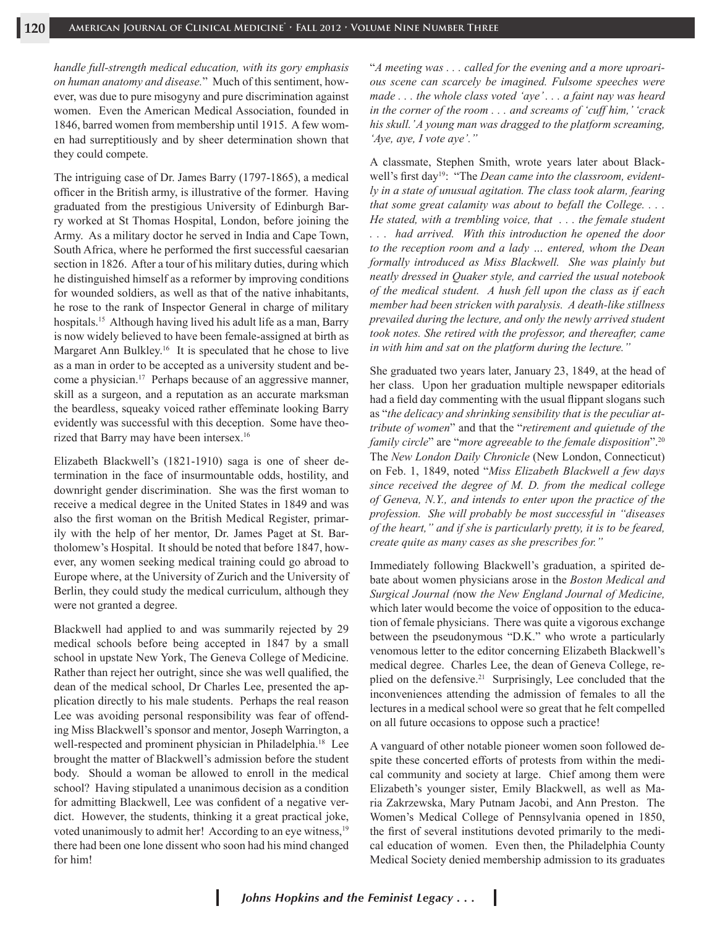*handle full-strength medical education, with its gory emphasis on human anatomy and disease.*" Much of this sentiment, however, was due to pure misogyny and pure discrimination against women. Even the American Medical Association, founded in 1846, barred women from membership until 1915. A few women had surreptitiously and by sheer determination shown that they could compete.

The intriguing case of Dr. James Barry (1797-1865), a medical officer in the British army, is illustrative of the former. Having graduated from the prestigious University of Edinburgh Barry worked at St Thomas Hospital, London, before joining the Army. As a military doctor he served in India and Cape Town, South Africa, where he performed the first successful caesarian section in 1826. After a tour of his military duties, during which he distinguished himself as a reformer by improving conditions for wounded soldiers, as well as that of the native inhabitants, he rose to the rank of Inspector General in charge of military hospitals.15 Although having lived his adult life as a man, Barry is now widely believed to have been female-assigned at birth as Margaret Ann Bulkley.<sup>16</sup> It is speculated that he chose to live as a man in order to be accepted as a university student and become a physician.17 Perhaps because of an aggressive manner, skill as a surgeon, and a reputation as an accurate marksman the beardless, squeaky voiced rather effeminate looking Barry evidently was successful with this deception. Some have theorized that Barry may have been intersex.<sup>16</sup>

Elizabeth Blackwell's (1821-1910) saga is one of sheer determination in the face of insurmountable odds, hostility, and downright gender discrimination. She was the first woman to receive a medical degree in the United States in 1849 and was also the first woman on the British Medical Register, primarily with the help of her mentor, Dr. James Paget at St. Bartholomew's Hospital. It should be noted that before 1847, however, any women seeking medical training could go abroad to Europe where, at the University of Zurich and the University of Berlin, they could study the medical curriculum, although they were not granted a degree.

Blackwell had applied to and was summarily rejected by 29 medical schools before being accepted in 1847 by a small school in upstate New York, The Geneva College of Medicine. Rather than reject her outright, since she was well qualified, the dean of the medical school, Dr Charles Lee, presented the application directly to his male students. Perhaps the real reason Lee was avoiding personal responsibility was fear of offending Miss Blackwell's sponsor and mentor, Joseph Warrington, a well-respected and prominent physician in Philadelphia.<sup>18</sup> Lee brought the matter of Blackwell's admission before the student body. Should a woman be allowed to enroll in the medical school? Having stipulated a unanimous decision as a condition for admitting Blackwell, Lee was confident of a negative verdict. However, the students, thinking it a great practical joke, voted unanimously to admit her! According to an eye witness,<sup>19</sup> there had been one lone dissent who soon had his mind changed for him!

"*A meeting was . . . called for the evening and a more uproarious scene can scarcely be imagined. Fulsome speeches were made . . . the whole class voted 'aye' . . . a faint nay was heard in the corner of the room . . . and screams of 'cuff him,' 'crack his skull.' A young man was dragged to the platform screaming, 'Aye, aye, I vote aye'."*

A classmate, Stephen Smith, wrote years later about Blackwell's first day19: "The *Dean came into the classroom, evidently in a state of unusual agitation. The class took alarm, fearing that some great calamity was about to befall the College. . . . He stated, with a trembling voice, that . . . the female student had arrived. With this introduction he opened the door to the reception room and a lady … entered, whom the Dean formally introduced as Miss Blackwell. She was plainly but neatly dressed in Quaker style, and carried the usual notebook of the medical student. A hush fell upon the class as if each member had been stricken with paralysis. A death-like stillness prevailed during the lecture, and only the newly arrived student took notes. She retired with the professor, and thereafter, came in with him and sat on the platform during the lecture."*

She graduated two years later, January 23, 1849, at the head of her class. Upon her graduation multiple newspaper editorials had a field day commenting with the usual flippant slogans such as "*the delicacy and shrinking sensibility that is the peculiar attribute of women*" and that the "*retirement and quietude of the family circle*" are "*more agreeable to the female disposition*".20 The *New London Daily Chronicle* (New London, Connecticut) on Feb. 1, 1849, noted "*Miss Elizabeth Blackwell a few days since received the degree of M. D. from the medical college of Geneva, N.Y., and intends to enter upon the practice of the profession. She will probably be most successful in "diseases of the heart," and if she is particularly pretty, it is to be feared, create quite as many cases as she prescribes for."*

Immediately following Blackwell's graduation, a spirited debate about women physicians arose in the *Boston Medical and Surgical Journal (*now *the New England Journal of Medicine,* which later would become the voice of opposition to the education of female physicians. There was quite a vigorous exchange between the pseudonymous "D.K." who wrote a particularly venomous letter to the editor concerning Elizabeth Blackwell's medical degree. Charles Lee, the dean of Geneva College, replied on the defensive.<sup>21</sup> Surprisingly, Lee concluded that the inconveniences attending the admission of females to all the lectures in a medical school were so great that he felt compelled on all future occasions to oppose such a practice!

A vanguard of other notable pioneer women soon followed despite these concerted efforts of protests from within the medical community and society at large. Chief among them were Elizabeth's younger sister, Emily Blackwell, as well as Maria Zakrzewska, Mary Putnam Jacobi, and Ann Preston. The Women's Medical College of Pennsylvania opened in 1850, the first of several institutions devoted primarily to the medical education of women. Even then, the Philadelphia County Medical Society denied membership admission to its graduates

ı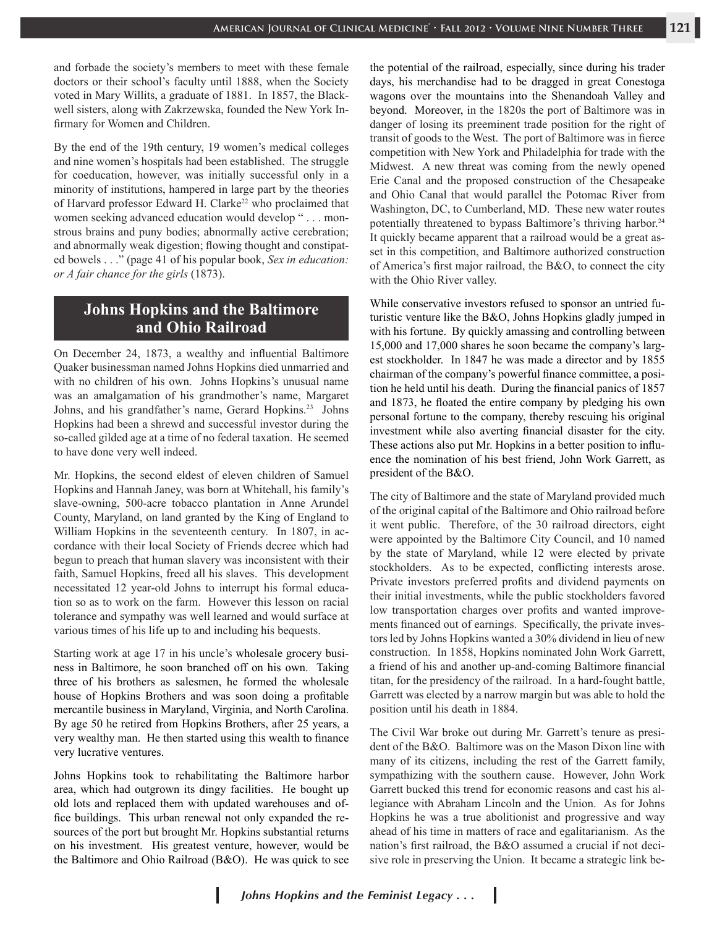and forbade the society's members to meet with these female doctors or their school's faculty until 1888, when the Society voted in Mary Willits, a graduate of 1881. In 1857, the Blackwell sisters, along with Zakrzewska, founded the New York Infirmary for Women and Children.

By the end of the 19th century, 19 women's medical colleges and nine women's hospitals had been established. The struggle for coeducation, however, was initially successful only in a minority of institutions, hampered in large part by the theories of Harvard professor Edward H. Clarke<sup>22</sup> who proclaimed that women seeking advanced education would develop " . . . monstrous brains and puny bodies; abnormally active cerebration; and abnormally weak digestion; flowing thought and constipated bowels . . ." (page 41 of his popular book, *Sex in education: or A fair chance for the girls* (1873).

## **Johns Hopkins and the Baltimore and Ohio Railroad**

On December 24, 1873, a wealthy and influential Baltimore Quaker businessman named Johns Hopkins died unmarried and with no children of his own. Johns Hopkins's unusual name was an amalgamation of his grandmother's name, Margaret Johns, and his grandfather's name, Gerard Hopkins.23 Johns Hopkins had been a shrewd and successful investor during the so-called gilded age at a time of no federal taxation. He seemed to have done very well indeed.

Mr. Hopkins, the second eldest of eleven children of Samuel Hopkins and Hannah Janey, was born at Whitehall, his family's slave-owning, 500-acre tobacco plantation in Anne Arundel County, Maryland, on land granted by the King of England to William Hopkins in the seventeenth century. In 1807, in accordance with their local Society of Friends decree which had begun to preach that human slavery was inconsistent with their faith, Samuel Hopkins, freed all his slaves. This development necessitated 12 year-old Johns to interrupt his formal education so as to work on the farm. However this lesson on racial tolerance and sympathy was well learned and would surface at various times of his life up to and including his bequests.

Starting work at age 17 in his uncle's wholesale grocery business in Baltimore, he soon branched off on his own. Taking three of his brothers as salesmen, he formed the wholesale house of Hopkins Brothers and was soon doing a profitable mercantile business in Maryland, Virginia, and North Carolina. By age 50 he retired from Hopkins Brothers, after 25 years, a very wealthy man. He then started using this wealth to finance very lucrative ventures.

Johns Hopkins took to rehabilitating the Baltimore harbor area, which had outgrown its dingy facilities. He bought up old lots and replaced them with updated warehouses and office buildings. This urban renewal not only expanded the resources of the port but brought Mr. Hopkins substantial returns on his investment. His greatest venture, however, would be the Baltimore and Ohio Railroad (B&O). He was quick to see

the potential of the railroad, especially, since during his trader days, his merchandise had to be dragged in great Conestoga wagons over the mountains into the Shenandoah Valley and beyond. Moreover, in the 1820s the port of Baltimore was in danger of losing its preeminent trade position for the right of transit of goods to the West. The port of Baltimore was in fierce competition with New York and Philadelphia for trade with the Midwest. A new threat was coming from the newly opened Erie Canal and the proposed construction of the Chesapeake and Ohio Canal that would parallel the Potomac River from Washington, DC, to Cumberland, MD. These new water routes potentially threatened to bypass Baltimore's thriving harbor.<sup>24</sup> It quickly became apparent that a railroad would be a great asset in this competition, and Baltimore authorized construction of America's first major railroad, the B&O, to connect the city with the Ohio River valley.

While conservative investors refused to sponsor an untried futuristic venture like the B&O, Johns Hopkins gladly jumped in with his fortune. By quickly amassing and controlling between 15,000 and 17,000 shares he soon became the company's largest stockholder. In 1847 he was made a director and by 1855 chairman of the company's powerful finance committee, a position he held until his death. During the financial panics of 1857 and 1873, he floated the entire company by pledging his own personal fortune to the company, thereby rescuing his original investment while also averting financial disaster for the city. These actions also put Mr. Hopkins in a better position to influence the nomination of his best friend, John Work Garrett, as president of the B&O.

The city of Baltimore and the state of Maryland provided much of the original capital of the Baltimore and Ohio railroad before it went public. Therefore, of the 30 railroad directors, eight were appointed by the Baltimore City Council, and 10 named by the state of Maryland, while 12 were elected by private stockholders. As to be expected, conflicting interests arose. Private investors preferred profits and dividend payments on their initial investments, while the public stockholders favored low transportation charges over profits and wanted improvements financed out of earnings. Specifically, the private investors led by Johns Hopkins wanted a 30% dividend in lieu of new construction. In 1858, Hopkins nominated John Work Garrett, a friend of his and another up-and-coming Baltimore financial titan, for the presidency of the railroad. In a hard-fought battle, Garrett was elected by a narrow margin but was able to hold the position until his death in 1884.

The Civil War broke out during Mr. Garrett's tenure as president of the B&O. Baltimore was on the Mason Dixon line with many of its citizens, including the rest of the Garrett family, sympathizing with the southern cause. However, John Work Garrett bucked this trend for economic reasons and cast his allegiance with Abraham Lincoln and the Union. As for Johns Hopkins he was a true abolitionist and progressive and way ahead of his time in matters of race and egalitarianism. As the nation's first railroad, the B&O assumed a crucial if not decisive role in preserving the Union. It became a strategic link be-

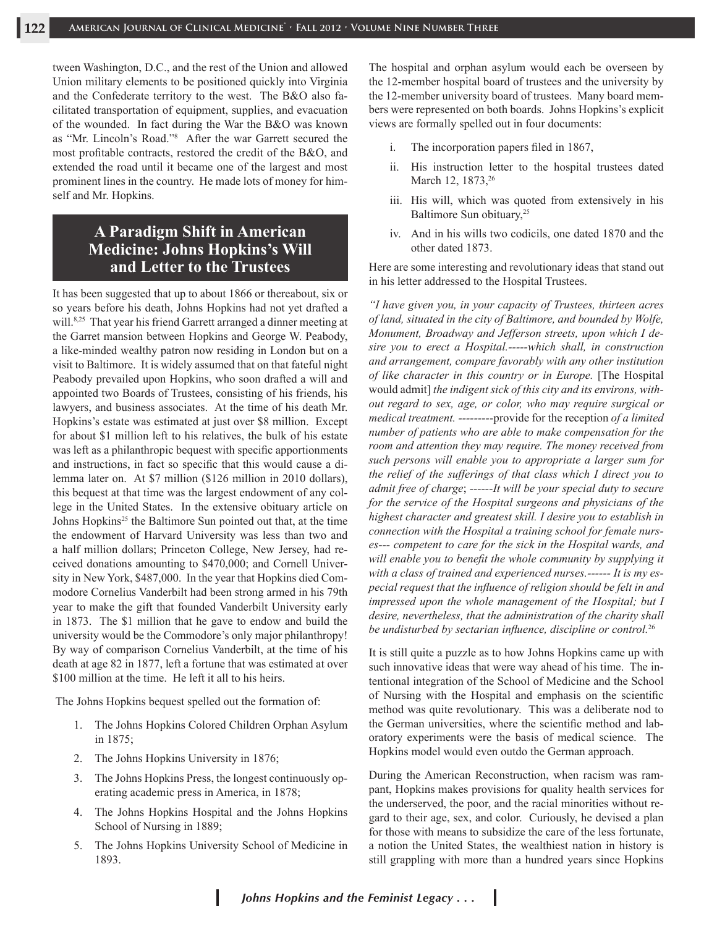tween Washington, D.C., and the rest of the Union and allowed Union military elements to be positioned quickly into Virginia and the Confederate territory to the west. The B&O also facilitated transportation of equipment, supplies, and evacuation of the wounded. In fact during the War the B&O was known as "Mr. Lincoln's Road."8 After the war Garrett secured the most profitable contracts, restored the credit of the B&O, and extended the road until it became one of the largest and most prominent lines in the country. He made lots of money for himself and Mr. Hopkins.

## **A Paradigm Shift in American Medicine: Johns Hopkins's Will and Letter to the Trustees**

It has been suggested that up to about 1866 or thereabout, six or so years before his death, Johns Hopkins had not yet drafted a will.<sup>8,25</sup> That year his friend Garrett arranged a dinner meeting at the Garret mansion between Hopkins and George W. Peabody, a like-minded wealthy patron now residing in London but on a visit to Baltimore. It is widely assumed that on that fateful night Peabody prevailed upon Hopkins, who soon drafted a will and appointed two Boards of Trustees, consisting of his friends, his lawyers, and business associates. At the time of his death Mr. Hopkins's estate was estimated at just over \$8 million. Except for about \$1 million left to his relatives, the bulk of his estate was left as a philanthropic bequest with specific apportionments and instructions, in fact so specific that this would cause a dilemma later on. At \$7 million (\$126 million in 2010 dollars), this bequest at that time was the largest endowment of any college in the United States. In the extensive obituary article on Johns Hopkins<sup>25</sup> the Baltimore Sun pointed out that, at the time the endowment of Harvard University was less than two and a half million dollars; Princeton College, New Jersey, had received donations amounting to \$470,000; and Cornell University in New York, \$487,000. In the year that Hopkins died Commodore Cornelius Vanderbilt had been strong armed in his 79th year to make the gift that founded Vanderbilt University early in 1873. The \$1 million that he gave to endow and build the university would be the Commodore's only major philanthropy! By way of comparison Cornelius Vanderbilt, at the time of his death at age 82 in 1877, left a fortune that was estimated at over \$100 million at the time. He left it all to his heirs.

The Johns Hopkins bequest spelled out the formation of:

- 1. The Johns Hopkins Colored Children Orphan Asylum in 1875;
- 2. The Johns Hopkins University in 1876;
- 3. The Johns Hopkins Press, the longest continuously operating academic press in America, in 1878;
- 4. The Johns Hopkins Hospital and the Johns Hopkins School of Nursing in 1889;
- 5. The Johns Hopkins University School of Medicine in 1893.

The hospital and orphan asylum would each be overseen by the 12-member hospital board of trustees and the university by the 12-member university board of trustees. Many board members were represented on both boards. Johns Hopkins's explicit views are formally spelled out in four documents:

- i. The incorporation papers filed in 1867,
- ii. His instruction letter to the hospital trustees dated March 12, 1873,<sup>26</sup>
- iii. His will, which was quoted from extensively in his Baltimore Sun obituary,<sup>25</sup>
- iv. And in his wills two codicils, one dated 1870 and the other dated 1873.

Here are some interesting and revolutionary ideas that stand out in his letter addressed to the Hospital Trustees.

*"I have given you, in your capacity of Trustees, thirteen acres of land, situated in the city of Baltimore, and bounded by Wolfe, Monument, Broadway and Jefferson streets, upon which I desire you to erect a Hospital.-----which shall, in construction and arrangement, compare favorably with any other institution of like character in this country or in Europe.* [The Hospital would admit] *the indigent sick of this city and its environs, without regard to sex, age, or color, who may require surgical or medical treatment. ---------*provide for the reception *of a limited number of patients who are able to make compensation for the room and attention they may require. The money received from such persons will enable you to appropriate a larger sum for the relief of the sufferings of that class which I direct you to admit free of charge*; *------It will be your special duty to secure for the service of the Hospital surgeons and physicians of the highest character and greatest skill. I desire you to establish in connection with the Hospital a training school for female nurses--- competent to care for the sick in the Hospital wards, and will enable you to benefit the whole community by supplying it with a class of trained and experienced nurses.------ It is my especial request that the influence of religion should be felt in and impressed upon the whole management of the Hospital; but I desire, nevertheless, that the administration of the charity shall be undisturbed by sectarian influence, discipline or control.*<sup>26</sup>

It is still quite a puzzle as to how Johns Hopkins came up with such innovative ideas that were way ahead of his time. The intentional integration of the School of Medicine and the School of Nursing with the Hospital and emphasis on the scientific method was quite revolutionary. This was a deliberate nod to the German universities, where the scientific method and laboratory experiments were the basis of medical science. The Hopkins model would even outdo the German approach.

During the American Reconstruction, when racism was rampant, Hopkins makes provisions for quality health services for the underserved, the poor, and the racial minorities without regard to their age, sex, and color. Curiously, he devised a plan for those with means to subsidize the care of the less fortunate, a notion the United States, the wealthiest nation in history is still grappling with more than a hundred years since Hopkins

ı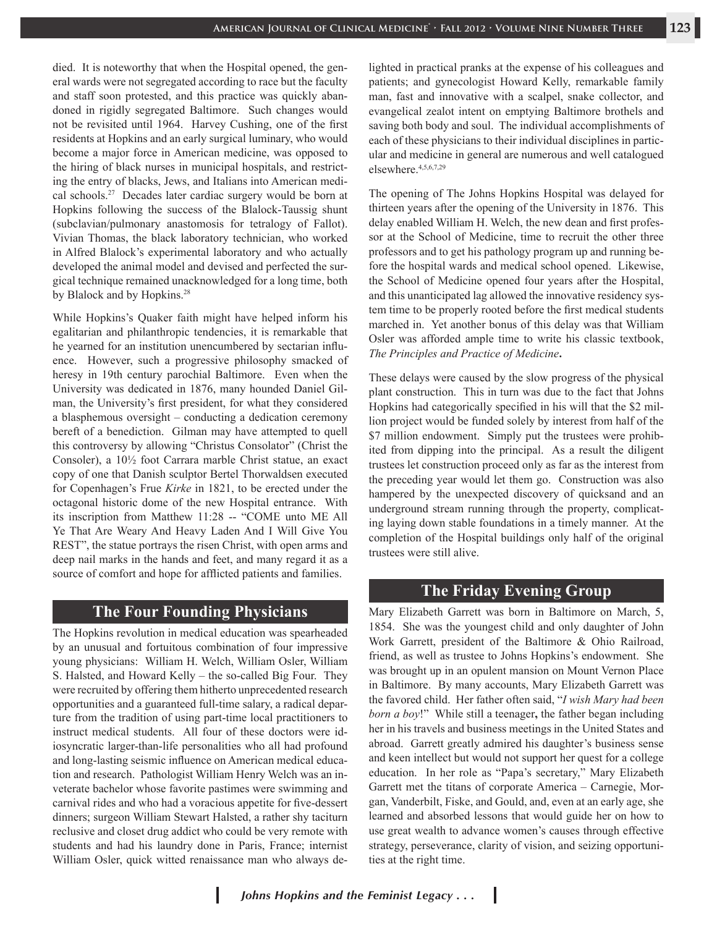died. It is noteworthy that when the Hospital opened, the general wards were not segregated according to race but the faculty and staff soon protested, and this practice was quickly abandoned in rigidly segregated Baltimore. Such changes would not be revisited until 1964. Harvey Cushing, one of the first residents at Hopkins and an early surgical luminary, who would become a major force in American medicine, was opposed to the hiring of black nurses in municipal hospitals, and restricting the entry of blacks, Jews, and Italians into American medical schools.27 Decades later cardiac surgery would be born at Hopkins following the success of the Blalock-Taussig shunt (subclavian/pulmonary anastomosis for tetralogy of Fallot). Vivian Thomas, the black laboratory technician, who worked in Alfred Blalock's experimental laboratory and who actually developed the animal model and devised and perfected the surgical technique remained unacknowledged for a long time, both by Blalock and by Hopkins.<sup>28</sup>

While Hopkins's Quaker faith might have helped inform his egalitarian and philanthropic tendencies, it is remarkable that he yearned for an institution unencumbered by sectarian influence. However, such a progressive philosophy smacked of heresy in 19th century parochial Baltimore. Even when the University was dedicated in 1876, many hounded Daniel Gilman, the University's first president, for what they considered a blasphemous oversight – conducting a dedication ceremony bereft of a benediction. Gilman may have attempted to quell this controversy by allowing "Christus Consolator" (Christ the Consoler), a 10½ foot Carrara marble Christ statue, an exact copy of one that Danish sculptor Bertel Thorwaldsen executed for Copenhagen's Frue *Kirke* in 1821, to be erected under the octagonal historic dome of the new Hospital entrance. With its inscription from Matthew 11:28 -- "COME unto ME All Ye That Are Weary And Heavy Laden And I Will Give You REST", the statue portrays the risen Christ, with open arms and deep nail marks in the hands and feet, and many regard it as a source of comfort and hope for afflicted patients and families.

#### **The Four Founding Physicians**

The Hopkins revolution in medical education was spearheaded by an unusual and fortuitous combination of four impressive young physicians: William H. Welch, William Osler, William S. Halsted, and Howard Kelly – the so-called Big Four. They were recruited by offering them hitherto unprecedented research opportunities and a guaranteed full-time salary, a radical departure from the tradition of using part-time local practitioners to instruct medical students. All four of these doctors were idiosyncratic larger-than-life personalities who all had profound and long-lasting seismic influence on American medical education and research. Pathologist William Henry Welch was an inveterate bachelor whose favorite pastimes were swimming and carnival rides and who had a voracious appetite for five-dessert dinners; surgeon William Stewart Halsted, a rather shy taciturn reclusive and closet drug addict who could be very remote with students and had his laundry done in Paris, France; internist William Osler, quick witted renaissance man who always delighted in practical pranks at the expense of his colleagues and patients; and gynecologist Howard Kelly, remarkable family man, fast and innovative with a scalpel, snake collector, and evangelical zealot intent on emptying Baltimore brothels and saving both body and soul. The individual accomplishments of each of these physicians to their individual disciplines in particular and medicine in general are numerous and well catalogued elsewhere.4,5,6,7,29

The opening of The Johns Hopkins Hospital was delayed for thirteen years after the opening of the University in 1876. This delay enabled William H. Welch, the new dean and first professor at the School of Medicine, time to recruit the other three professors and to get his pathology program up and running before the hospital wards and medical school opened. Likewise, the School of Medicine opened four years after the Hospital, and this unanticipated lag allowed the innovative residency system time to be properly rooted before the first medical students marched in. Yet another bonus of this delay was that William Osler was afforded ample time to write his classic textbook, *The Principles and Practice of Medicine***.**

These delays were caused by the slow progress of the physical plant construction. This in turn was due to the fact that Johns Hopkins had categorically specified in his will that the \$2 million project would be funded solely by interest from half of the \$7 million endowment. Simply put the trustees were prohibited from dipping into the principal. As a result the diligent trustees let construction proceed only as far as the interest from the preceding year would let them go. Construction was also hampered by the unexpected discovery of quicksand and an underground stream running through the property, complicating laying down stable foundations in a timely manner. At the completion of the Hospital buildings only half of the original trustees were still alive.

#### **The Friday Evening Group**

Mary Elizabeth Garrett was born in Baltimore on March, 5, 1854. She was the youngest child and only daughter of John Work Garrett, president of the Baltimore & Ohio Railroad, friend, as well as trustee to Johns Hopkins's endowment. She was brought up in an opulent mansion on Mount Vernon Place in Baltimore. By many accounts, Mary Elizabeth Garrett was the favored child. Her father often said, "*I wish Mary had been born a boy*!" While still a teenager**,** the father began including her in his travels and business meetings in the United States and abroad.Garrett greatly admired his daughter's business sense and keen intellect but would not support her quest for a college education. In her role as "Papa's secretary," Mary Elizabeth Garrett met the titans of corporate America – Carnegie, Morgan, Vanderbilt, Fiske, and Gould, and, even at an early age, she learned and absorbed lessons that would guide her on how to use great wealth to advance women's causes through effective strategy, perseverance, clarity of vision, and seizing opportunities at the right time.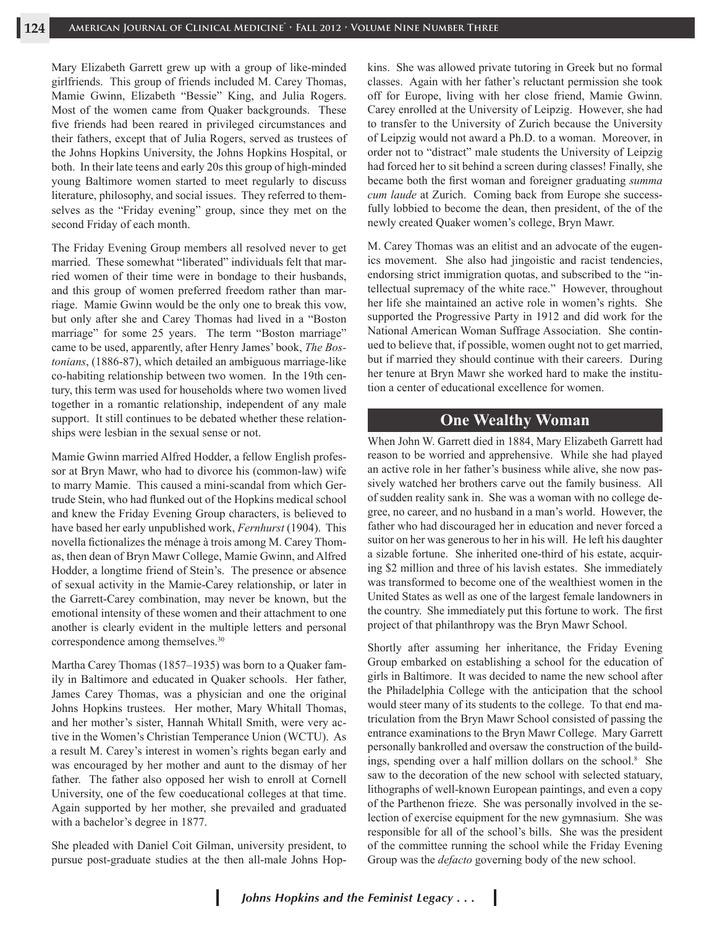Mary Elizabeth Garrett grew up with a group of like-minded girlfriends. This group of friends included M. Carey Thomas, Mamie Gwinn, Elizabeth "Bessie" King, and Julia Rogers. Most of the women came from Quaker backgrounds. These five friends had been reared in privileged circumstances and their fathers, except that of Julia Rogers, served as trustees of the Johns Hopkins University, the Johns Hopkins Hospital, or both. In their late teens and early 20s this group of high-minded young Baltimore women started to meet regularly to discuss literature, philosophy, and social issues. They referred to themselves as the "Friday evening" group, since they met on the second Friday of each month.

The Friday Evening Group members all resolved never to get married. These somewhat "liberated" individuals felt that married women of their time were in bondage to their husbands, and this group of women preferred freedom rather than marriage. Mamie Gwinn would be the only one to break this vow, but only after she and Carey Thomas had lived in a "Boston marriage" for some 25 years. The term "Boston marriage" came to be used, apparently, after Henry James' book, *The Bostonians*, (1886-87), which detailed an ambiguous marriage-like co-habiting relationship between two women. In the 19th century, this term was used for households where two women lived together in a romantic relationship, independent of any male support. It still continues to be debated whether these relationships were lesbian in the sexual sense or not.

Mamie Gwinn married Alfred Hodder, a fellow English professor at Bryn Mawr, who had to divorce his (common-law) wife to marry Mamie. This caused a mini-scandal from which Gertrude Stein, who had flunked out of the Hopkins medical school and knew the Friday Evening Group characters, is believed to have based her early unpublished work, *Fernhurst* (1904). This novella fictionalizes the ménage à trois among M. Carey Thomas, then dean of Bryn Mawr College, Mamie Gwinn, and Alfred Hodder, a longtime friend of Stein's. The presence or absence of sexual activity in the Mamie-Carey relationship, or later in the Garrett-Carey combination, may never be known, but the emotional intensity of these women and their attachment to one another is clearly evident in the multiple letters and personal correspondence among themselves.<sup>30</sup>

Martha Carey Thomas (1857–1935) was born to a Quaker family in Baltimore and educated in Quaker schools. Her father, James Carey Thomas, was a physician and one the original Johns Hopkins trustees. Her mother, Mary Whitall Thomas, and her mother's sister, Hannah Whitall Smith, were very active in the Women's Christian Temperance Union (WCTU). As a result M. Carey's interest in women's rights began early and was encouraged by her mother and aunt to the dismay of her father. The father also opposed her wish to enroll at Cornell University, one of the few coeducational colleges at that time. Again supported by her mother, she prevailed and graduated with a bachelor's degree in 1877.

She pleaded with Daniel Coit Gilman, university president, to pursue post-graduate studies at the then all-male Johns Hopkins. She was allowed private tutoring in Greek but no formal classes. Again with her father's reluctant permission she took off for Europe, living with her close friend, Mamie Gwinn. Carey enrolled at the University of Leipzig. However, she had to transfer to the University of Zurich because the University of Leipzig would not award a Ph.D. to a woman. Moreover, in order not to "distract" male students the University of Leipzig had forced her to sit behind a screen during classes! Finally, she became both the first woman and foreigner graduating *summa cum laude* at Zurich. Coming back from Europe she successfully lobbied to become the dean, then president, of the of the newly created Quaker women's college, Bryn Mawr.

M. Carey Thomas was an elitist and an advocate of the eugenics movement. She also had jingoistic and racist tendencies, endorsing strict immigration quotas, and subscribed to the "intellectual supremacy of the white race." However, throughout her life she maintained an active role in women's rights. She supported the Progressive Party in 1912 and did work for the National American Woman Suffrage Association. She continued to believe that, if possible, women ought not to get married, but if married they should continue with their careers. During her tenure at Bryn Mawr she worked hard to make the institution a center of educational excellence for women.

#### **One Wealthy Woman**

When John W. Garrett died in 1884, Mary Elizabeth Garrett had reason to be worried and apprehensive. While she had played an active role in her father's business while alive, she now passively watched her brothers carve out the family business. All of sudden reality sank in. She was a woman with no college degree, no career, and no husband in a man's world. However, the father who had discouraged her in education and never forced a suitor on her was generous to her in his will. He left his daughter a sizable fortune. She inherited one-third of his estate, acquiring \$2 million and three of his lavish estates. She immediately was transformed to become one of the wealthiest women in the United States as well as one of the largest female landowners in the country. She immediately put this fortune to work. The first project of that philanthropy was the Bryn Mawr School.

Shortly after assuming her inheritance, the Friday Evening Group embarked on establishing a school for the education of girls in Baltimore. It was decided to name the new school after the Philadelphia College with the anticipation that the school would steer many of its students to the college. To that end matriculation from the Bryn Mawr School consisted of passing the entrance examinations to the Bryn Mawr College. Mary Garrett personally bankrolled and oversaw the construction of the buildings, spending over a half million dollars on the school.<sup>8</sup> She saw to the decoration of the new school with selected statuary, lithographs of well-known European paintings, and even a copy of the Parthenon frieze. She was personally involved in the selection of exercise equipment for the new gymnasium. She was responsible for all of the school's bills. She was the president of the committee running the school while the Friday Evening Group was the *defacto* governing body of the new school.

ı

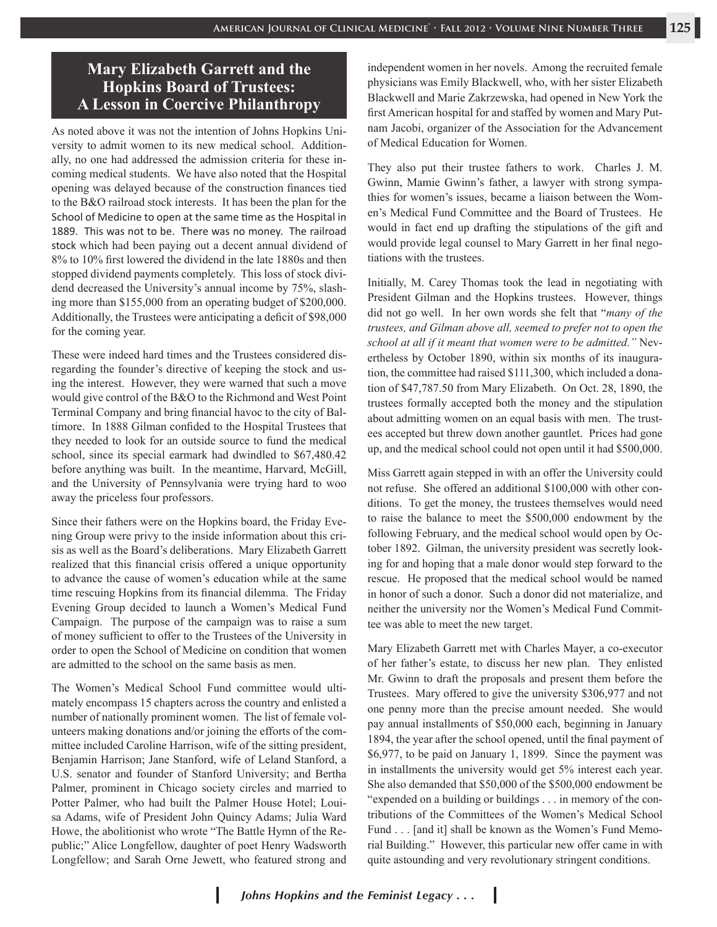## **Mary Elizabeth Garrett and the Hopkins Board of Trustees: A Lesson in Coercive Philanthropy**

As noted above it was not the intention of Johns Hopkins University to admit women to its new medical school. Additionally, no one had addressed the admission criteria for these incoming medical students. We have also noted that the Hospital opening was delayed because of the construction finances tied to the B&O railroad stock interests. It has been the plan for the School of Medicine to open at the same time as the Hospital in 1889. This was not to be. There was no money. The railroad stock which had been paying out a decent annual dividend of 8% to 10% first lowered the dividend in the late 1880s and then stopped dividend payments completely. This loss of stock dividend decreased the University's annual income by 75%, slashing more than \$155,000 from an operating budget of \$200,000. Additionally, the Trustees were anticipating a deficit of \$98,000 for the coming year.

These were indeed hard times and the Trustees considered disregarding the founder's directive of keeping the stock and using the interest. However, they were warned that such a move would give control of the B&O to the Richmond and West Point Terminal Company and bring financial havoc to the city of Baltimore. In 1888 Gilman confided to the Hospital Trustees that they needed to look for an outside source to fund the medical school, since its special earmark had dwindled to \$67,480.42 before anything was built. In the meantime, Harvard, McGill, and the University of Pennsylvania were trying hard to woo away the priceless four professors.

Since their fathers were on the Hopkins board, the Friday Evening Group were privy to the inside information about this crisis as well as the Board's deliberations. Mary Elizabeth Garrett realized that this financial crisis offered a unique opportunity to advance the cause of women's education while at the same time rescuing Hopkins from its financial dilemma. The Friday Evening Group decided to launch a Women's Medical Fund Campaign. The purpose of the campaign was to raise a sum of money sufficient to offer to the Trustees of the University in order to open the School of Medicine on condition that women are admitted to the school on the same basis as men.

The Women's Medical School Fund committee would ultimately encompass 15 chapters across the country and enlisted a number of nationally prominent women. The list of female volunteers making donations and/or joining the efforts of the committee included Caroline Harrison, wife of the sitting president, Benjamin Harrison; Jane Stanford, wife of Leland Stanford, a U.S. senator and founder of Stanford University; and Bertha Palmer, prominent in Chicago society circles and married to Potter Palmer, who had built the Palmer House Hotel; Louisa Adams, wife of President John Quincy Adams; Julia Ward Howe, the abolitionist who wrote "The Battle Hymn of the Republic;" Alice Longfellow, daughter of poet Henry Wadsworth Longfellow; and Sarah Orne Jewett, who featured strong and

independent women in her novels. Among the recruited female physicians was Emily Blackwell, who, with her sister Elizabeth Blackwell and Marie Zakrzewska, had opened in New York the first American hospital for and staffed by women and Mary Putnam Jacobi, organizer of the Association for the Advancement of Medical Education for Women.

They also put their trustee fathers to work. Charles J. M. Gwinn, Mamie Gwinn's father, a lawyer with strong sympathies for women's issues, became a liaison between the Women's Medical Fund Committee and the Board of Trustees. He would in fact end up drafting the stipulations of the gift and would provide legal counsel to Mary Garrett in her final negotiations with the trustees.

Initially, M. Carey Thomas took the lead in negotiating with President Gilman and the Hopkins trustees. However, things did not go well. In her own words she felt that "*many of the trustees, and Gilman above all, seemed to prefer not to open the school at all if it meant that women were to be admitted."* Nevertheless by October 1890, within six months of its inauguration, the committee had raised \$111,300, which included a donation of \$47,787.50 from Mary Elizabeth. On Oct. 28, 1890, the trustees formally accepted both the money and the stipulation about admitting women on an equal basis with men. The trustees accepted but threw down another gauntlet. Prices had gone up, and the medical school could not open until it had \$500,000.

Miss Garrett again stepped in with an offer the University could not refuse. She offered an additional \$100,000 with other conditions. To get the money, the trustees themselves would need to raise the balance to meet the \$500,000 endowment by the following February, and the medical school would open by October 1892. Gilman, the university president was secretly looking for and hoping that a male donor would step forward to the rescue. He proposed that the medical school would be named in honor of such a donor. Such a donor did not materialize, and neither the university nor the Women's Medical Fund Committee was able to meet the new target.

Mary Elizabeth Garrett met with Charles Mayer, a co-executor of her father's estate, to discuss her new plan. They enlisted Mr. Gwinn to draft the proposals and present them before the Trustees. Mary offered to give the university \$306,977 and not one penny more than the precise amount needed. She would pay annual installments of \$50,000 each, beginning in January 1894, the year after the school opened, until the final payment of \$6,977, to be paid on January 1, 1899. Since the payment was in installments the university would get 5% interest each year. She also demanded that \$50,000 of the \$500,000 endowment be "expended on a building or buildings . . . in memory of the contributions of the Committees of the Women's Medical School Fund . . . [and it] shall be known as the Women's Fund Memorial Building." However, this particular new offer came in with quite astounding and very revolutionary stringent conditions.

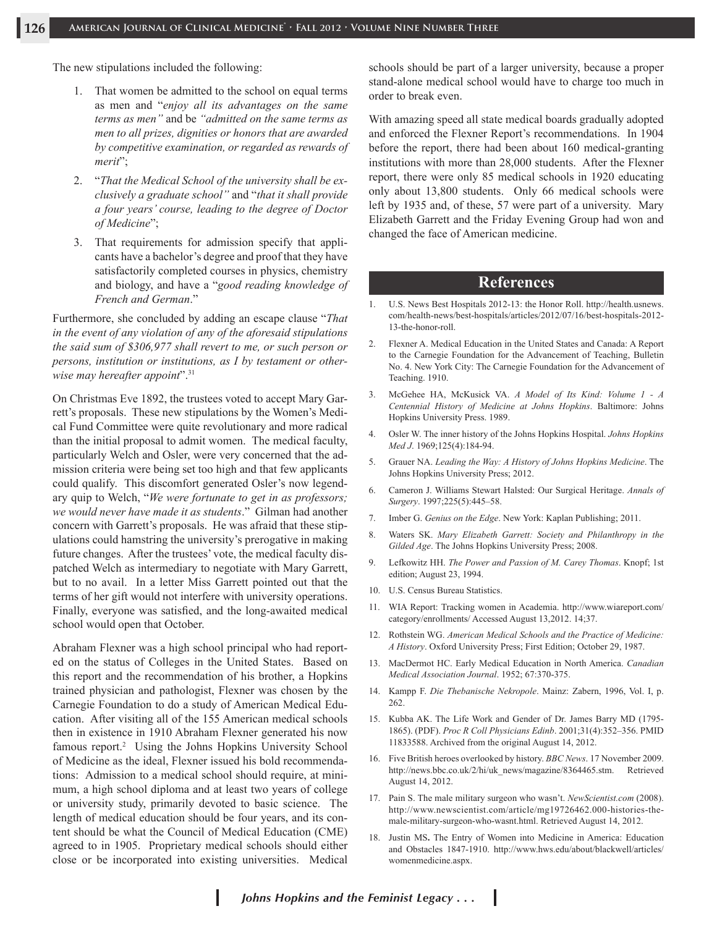The new stipulations included the following:

- 1. That women be admitted to the school on equal terms as men and "*enjoy all its advantages on the same terms as men"* and be *"admitted on the same terms as men to all prizes, dignities or honors that are awarded by competitive examination, or regarded as rewards of merit*";
- 2. "*That the Medical School of the university shall be exclusively a graduate school"* and "*that it shall provide a four years' course, leading to the degree of Doctor of Medicine*";
- 3. That requirements for admission specify that applicants have a bachelor's degree and proof that they have satisfactorily completed courses in physics, chemistry and biology, and have a "*good reading knowledge of French and German*."

Furthermore, she concluded by adding an escape clause "*That in the event of any violation of any of the aforesaid stipulations the said sum of \$306,977 shall revert to me, or such person or persons, institution or institutions, as I by testament or otherwise may hereafter appoint*".31

On Christmas Eve 1892, the trustees voted to accept Mary Garrett's proposals. These new stipulations by the Women's Medical Fund Committee were quite revolutionary and more radical than the initial proposal to admit women. The medical faculty, particularly Welch and Osler, were very concerned that the admission criteria were being set too high and that few applicants could qualify. This discomfort generated Osler's now legendary quip to Welch, "*We were fortunate to get in as professors; we would never have made it as students*." Gilman had another concern with Garrett's proposals. He was afraid that these stipulations could hamstring the university's prerogative in making future changes. After the trustees' vote, the medical faculty dispatched Welch as intermediary to negotiate with Mary Garrett, but to no avail. In a letter Miss Garrett pointed out that the terms of her gift would not interfere with university operations. Finally, everyone was satisfied, and the long-awaited medical school would open that October.

Abraham Flexner was a high school principal who had reported on the status of Colleges in the United States. Based on this report and the recommendation of his brother, a Hopkins trained physician and pathologist, Flexner was chosen by the Carnegie Foundation to do a study of American Medical Education. After visiting all of the 155 American medical schools then in existence in 1910 Abraham Flexner generated his now famous report.<sup>2</sup> Using the Johns Hopkins University School of Medicine as the ideal, Flexner issued his bold recommendations: Admission to a medical school should require, at minimum, a high school diploma and at least two years of college or university study, primarily devoted to basic science. The length of medical education should be four years, and its content should be what the Council of Medical Education (CME) agreed to in 1905. Proprietary medical schools should either close or be incorporated into existing universities. Medical

schools should be part of a larger university, because a proper stand-alone medical school would have to charge too much in order to break even.

With amazing speed all state medical boards gradually adopted and enforced the Flexner Report's recommendations. In 1904 before the report, there had been about 160 medical-granting institutions with more than 28,000 students. After the Flexner report, there were only 85 medical schools in 1920 educating only about 13,800 students. Only 66 medical schools were left by 1935 and, of these, 57 were part of a university. Mary Elizabeth Garrett and the Friday Evening Group had won and changed the face of American medicine.

### **References**

- 1. U.S. News Best Hospitals 2012-13: the Honor Roll. http://health.usnews. com/health-news/best-hospitals/articles/2012/07/16/best-hospitals-2012- 13-the-honor-roll.
- 2. Flexner A. Medical Education in the United States and Canada: A Report to the Carnegie Foundation for the Advancement of Teaching, Bulletin No. 4. New York City: The Carnegie Foundation for the Advancement of Teaching. 1910.
- 3. McGehee HA, McKusick VA. *A Model of Its Kind: Volume 1 A Centennial History of Medicine at Johns Hopkins*. Baltimore: Johns Hopkins University Press. 1989.
- 4. Osler W. The inner history of the Johns Hopkins Hospital. *Johns Hopkins Med J*. 1969;125(4):184-94.
- 5. Grauer NA. *Leading the Way: A History of Johns Hopkins Medicine*. The Johns Hopkins University Press; 2012.
- 6. Cameron J. Williams Stewart Halsted: Our Surgical Heritage. *Annals of Surgery*. 1997;225(5):445–58.
- 7. Imber G. *Genius on the Edge*. New York: Kaplan Publishing; 2011.
- 8. Waters SK. *Mary Elizabeth Garrett: Society and Philanthropy in the Gilded Age*. The Johns Hopkins University Press; 2008.
- 9. Lefkowitz HH. *The Power and Passion of M. Carey Thomas*. Knopf; 1st edition; August 23, 1994.
- 10. U.S. Census Bureau Statistics.
- 11. WIA Report: Tracking women in Academia. http://www.wiareport.com/ category/enrollments/ Accessed August 13,2012. 14;37.
- 12. Rothstein WG. *American Medical Schools and the Practice of Medicine: A History*. Oxford University Press; First Edition; October 29, 1987.
- 13. MacDermot HC. Early Medical Education in North America. *Canadian Medical Association Journal*. 1952; 67:370-375.
- 14. Kampp F. *Die Thebanische Nekropole*. Mainz: Zabern, 1996, Vol. I, p. 262.
- 15. Kubba AK. The Life Work and Gender of Dr. James Barry MD (1795- 1865). (PDF). *Proc R Coll Physicians Edinb*. 2001;31(4):352–356. PMID 11833588. Archived from the original August 14, 2012.
- 16. Five British heroes overlooked by history. *BBC News*. 17 November 2009. http://news.bbc.co.uk/2/hi/uk\_news/magazine/8364465.stm. Retrieved August 14, 2012.
- 17. Pain S. The male military surgeon who wasn't. *NewScientist.com* (2008). http://www.newscientist.com/article/mg19726462.000-histories-themale-military-surgeon-who-wasnt.html. Retrieved August 14, 2012.
- 18. Justin MS**.** The Entry of Women into Medicine in America: Education and Obstacles 1847-1910. http://www.hws.edu/about/blackwell/articles/ womenmedicine.aspx.